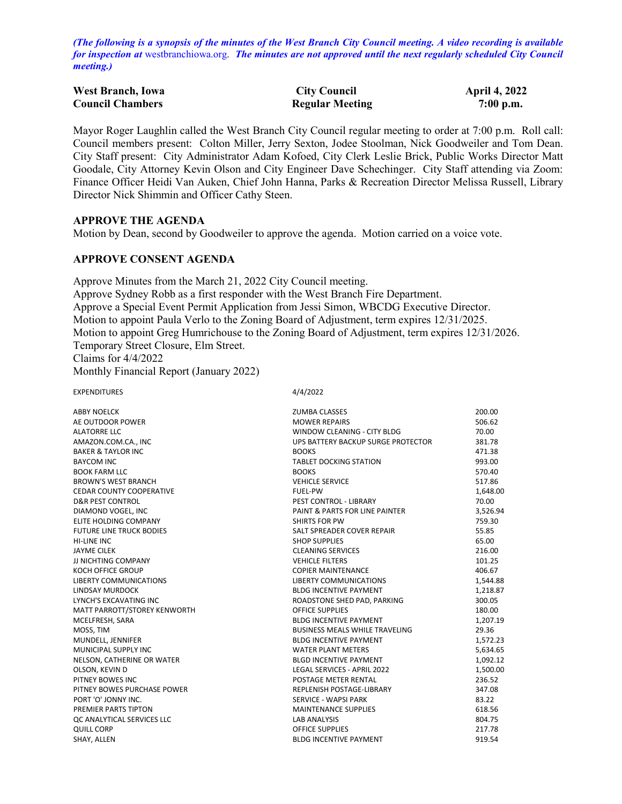*(The following is a synopsis of the minutes of the West Branch City Council meeting. A video recording is available for inspection at* [westbranchiowa.org.](https://westbranchiowa.org/city-of-west-branch/mayor-city-council/meetings/) *The minutes are not approved until the next regularly scheduled City Council meeting.)*

| <b>West Branch, Iowa</b> | <b>City Council</b>    | <b>April 4, 2022</b> |
|--------------------------|------------------------|----------------------|
| <b>Council Chambers</b>  | <b>Regular Meeting</b> | $7:00$ p.m.          |

Mayor Roger Laughlin called the West Branch City Council regular meeting to order at 7:00 p.m. Roll call: Council members present: Colton Miller, Jerry Sexton, Jodee Stoolman, Nick Goodweiler and Tom Dean. City Staff present: City Administrator Adam Kofoed, City Clerk Leslie Brick, Public Works Director Matt Goodale, City Attorney Kevin Olson and City Engineer Dave Schechinger. City Staff attending via Zoom: Finance Officer Heidi Van Auken, Chief John Hanna, Parks & Recreation Director Melissa Russell, Library Director Nick Shimmin and Officer Cathy Steen.

#### **APPROVE THE AGENDA**

Motion by Dean, second by Goodweiler to approve the agenda. Motion carried on a voice vote.

## **APPROVE CONSENT AGENDA**

Approve Minutes from the March 21, 2022 City Council meeting. Approve Sydney Robb as a first responder with the West Branch Fire Department. Approve a Special Event Permit Application from Jessi Simon, WBCDG Executive Director. Motion to appoint Paula Verlo to the Zoning Board of Adjustment, term expires 12/31/2025. Motion to appoint Greg Humrichouse to the Zoning Board of Adjustment, term expires 12/31/2026. Temporary Street Closure, Elm Street. Claims for 4/4/2022

Monthly Financial Report (January 2022)

EXPENDITURES 4/4/2022

| <b>ABBY NOELCK</b>              | <b>ZUMBA CLASSES</b>               | 200.00   |
|---------------------------------|------------------------------------|----------|
| AE OUTDOOR POWER                | <b>MOWER REPAIRS</b>               | 506.62   |
| <b>ALATORRE LLC</b>             | WINDOW CLEANING - CITY BLDG        | 70.00    |
| AMAZON.COM.CA., INC             | UPS BATTERY BACKUP SURGE PROTECTOR | 381.78   |
| <b>BAKER &amp; TAYLOR INC</b>   | <b>BOOKS</b>                       | 471.38   |
| <b>BAYCOM INC</b>               | <b>TABLET DOCKING STATION</b>      | 993.00   |
| <b>BOOK FARM LLC</b>            | <b>BOOKS</b>                       | 570.40   |
| <b>BROWN'S WEST BRANCH</b>      | <b>VEHICLE SERVICE</b>             | 517.86   |
| <b>CEDAR COUNTY COOPERATIVE</b> | <b>FUEL-PW</b>                     | 1,648.00 |
| <b>D&amp;R PEST CONTROL</b>     | PEST CONTROL - LIBRARY             | 70.00    |
| DIAMOND VOGEL, INC              | PAINT & PARTS FOR LINE PAINTER     | 3,526.94 |
| ELITE HOLDING COMPANY           | <b>SHIRTS FOR PW</b>               | 759.30   |
| <b>FUTURE LINE TRUCK BODIES</b> | SALT SPREADER COVER REPAIR         | 55.85    |
| <b>HI-LINE INC</b>              | <b>SHOP SUPPLIES</b>               | 65.00    |
| <b>JAYME CILEK</b>              | <b>CLEANING SERVICES</b>           | 216.00   |
| JJ NICHTING COMPANY             | <b>VEHICLE FILTERS</b>             | 101.25   |
| <b>KOCH OFFICE GROUP</b>        | <b>COPIER MAINTENANCE</b>          | 406.67   |
| <b>LIBERTY COMMUNICATIONS</b>   | <b>LIBERTY COMMUNICATIONS</b>      | 1,544.88 |
| <b>LINDSAY MURDOCK</b>          | <b>BLDG INCENTIVE PAYMENT</b>      | 1,218.87 |
| LYNCH'S EXCAVATING INC          | ROADSTONE SHED PAD, PARKING        | 300.05   |
| MATT PARROTT/STOREY KENWORTH    | <b>OFFICE SUPPLIES</b>             | 180.00   |
| MCELFRESH, SARA                 | <b>BLDG INCENTIVE PAYMENT</b>      | 1,207.19 |
| MOSS, TIM                       | BUSINESS MEALS WHILE TRAVELING     | 29.36    |
| MUNDELL, JENNIFER               | <b>BLDG INCENTIVE PAYMENT</b>      | 1,572.23 |
| MUNICIPAL SUPPLY INC            | <b>WATER PLANT METERS</b>          | 5,634.65 |
| NELSON, CATHERINE OR WATER      | <b>BLGD INCENTIVE PAYMENT</b>      | 1,092.12 |
| OLSON, KEVIN D                  | LEGAL SERVICES - APRIL 2022        | 1,500.00 |
| PITNEY BOWES INC                | POSTAGE METER RENTAL               | 236.52   |
| PITNEY BOWES PURCHASE POWER     | REPLENISH POSTAGE-LIBRARY          | 347.08   |
| PORT 'O' JONNY INC.             | SERVICE - WAPSI PARK               | 83.22    |
| PREMIER PARTS TIPTON            | <b>MAINTENANCE SUPPLIES</b>        | 618.56   |
| QC ANALYTICAL SERVICES LLC      | <b>LAB ANALYSIS</b>                | 804.75   |
| <b>QUILL CORP</b>               | <b>OFFICE SUPPLIES</b>             | 217.78   |
| SHAY, ALLEN                     | <b>BLDG INCENTIVE PAYMENT</b>      | 919.54   |
|                                 |                                    |          |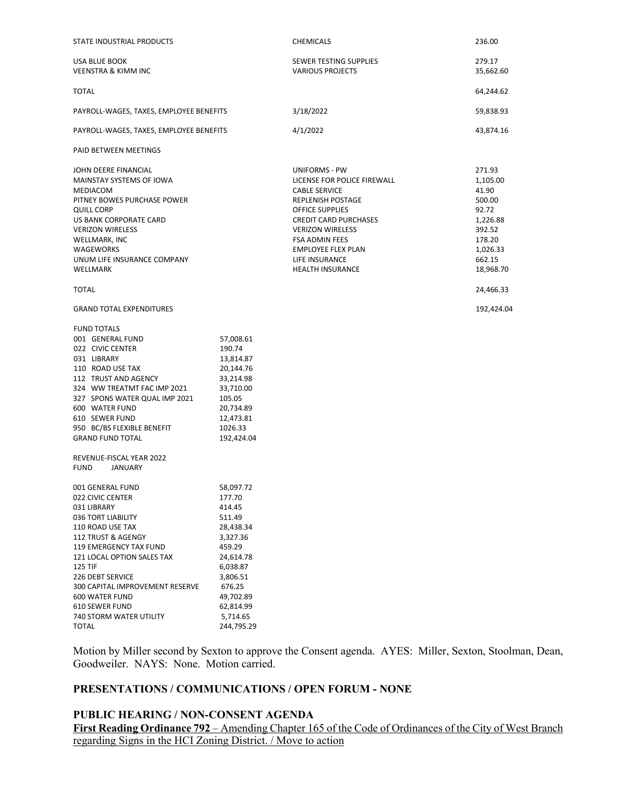| STATE INDUSTRIAL PRODUCTS                                                                                                                                                                                                                                                                                                                                            |                                                                                                                                                                               | <b>CHEMICALS</b>                                                                                                                                                                                                                                                                  | 236.00                                                                                                            |
|----------------------------------------------------------------------------------------------------------------------------------------------------------------------------------------------------------------------------------------------------------------------------------------------------------------------------------------------------------------------|-------------------------------------------------------------------------------------------------------------------------------------------------------------------------------|-----------------------------------------------------------------------------------------------------------------------------------------------------------------------------------------------------------------------------------------------------------------------------------|-------------------------------------------------------------------------------------------------------------------|
| USA BLUE BOOK<br><b>VEENSTRA &amp; KIMM INC</b>                                                                                                                                                                                                                                                                                                                      |                                                                                                                                                                               | SEWER TESTING SUPPLIES<br><b>VARIOUS PROJECTS</b>                                                                                                                                                                                                                                 | 279.17<br>35,662.60                                                                                               |
| <b>TOTAL</b>                                                                                                                                                                                                                                                                                                                                                         |                                                                                                                                                                               |                                                                                                                                                                                                                                                                                   | 64,244.62                                                                                                         |
| PAYROLL-WAGES, TAXES, EMPLOYEE BENEFITS                                                                                                                                                                                                                                                                                                                              |                                                                                                                                                                               | 3/18/2022                                                                                                                                                                                                                                                                         | 59,838.93                                                                                                         |
| PAYROLL-WAGES, TAXES, EMPLOYEE BENEFITS                                                                                                                                                                                                                                                                                                                              |                                                                                                                                                                               | 4/1/2022                                                                                                                                                                                                                                                                          | 43,874.16                                                                                                         |
| PAID BETWEEN MEETINGS                                                                                                                                                                                                                                                                                                                                                |                                                                                                                                                                               |                                                                                                                                                                                                                                                                                   |                                                                                                                   |
| JOHN DEERE FINANCIAL<br>MAINSTAY SYSTEMS OF IOWA<br>MEDIACOM<br>PITNEY BOWES PURCHASE POWER<br><b>QUILL CORP</b><br>US BANK CORPORATE CARD<br><b>VERIZON WIRELESS</b><br>WELLMARK, INC<br>WAGEWORKS<br>UNUM LIFE INSURANCE COMPANY<br>WELLMARK                                                                                                                       |                                                                                                                                                                               | UNIFORMS - PW<br>LICENSE FOR POLICE FIREWALL<br><b>CABLE SERVICE</b><br>REPLENISH POSTAGE<br><b>OFFICE SUPPLIES</b><br><b>CREDIT CARD PURCHASES</b><br><b>VERIZON WIRELESS</b><br><b>FSA ADMIN FEES</b><br><b>EMPLOYEE FLEX PLAN</b><br>LIFE INSURANCE<br><b>HEALTH INSURANCE</b> | 271.93<br>1,105.00<br>41.90<br>500.00<br>92.72<br>1,226.88<br>392.52<br>178.20<br>1,026.33<br>662.15<br>18,968.70 |
| <b>TOTAL</b>                                                                                                                                                                                                                                                                                                                                                         |                                                                                                                                                                               |                                                                                                                                                                                                                                                                                   | 24,466.33                                                                                                         |
| <b>GRAND TOTAL EXPENDITURES</b>                                                                                                                                                                                                                                                                                                                                      |                                                                                                                                                                               |                                                                                                                                                                                                                                                                                   | 192,424.04                                                                                                        |
| <b>FUND TOTALS</b><br>001 GENERAL FUND<br>022 CIVIC CENTER<br>031 LIBRARY<br>110 ROAD USE TAX<br>112 TRUST AND AGENCY<br>324 WW TREATMT FAC IMP 2021<br>327 SPONS WATER QUAL IMP 2021<br>600 WATER FUND<br>610 SEWER FUND<br>950 BC/BS FLEXIBLE BENEFIT<br><b>GRAND FUND TOTAL</b><br>REVENUE-FISCAL YEAR 2022                                                       | 57,008.61<br>190.74<br>13,814.87<br>20,144.76<br>33,214.98<br>33,710.00<br>105.05<br>20,734.89<br>12,473.81<br>1026.33<br>192,424.04                                          |                                                                                                                                                                                                                                                                                   |                                                                                                                   |
| <b>FUND</b><br>JANUARY<br>001 GENERAL FUND<br>022 CIVIC CENTER<br>031 LIBRARY<br>036 TORT LIABILITY<br>110 ROAD USE TAX<br>112 TRUST & AGENGY<br>119 EMERGENCY TAX FUND<br>121 LOCAL OPTION SALES TAX<br><b>125 TIF</b><br>226 DEBT SERVICE<br>300 CAPITAL IMPROVEMENT RESERVE<br><b>600 WATER FUND</b><br>610 SEWER FUND<br>740 STORM WATER UTILITY<br><b>TOTAL</b> | 58,097.72<br>177.70<br>414.45<br>511.49<br>28,438.34<br>3,327.36<br>459.29<br>24,614.78<br>6,038.87<br>3,806.51<br>676.25<br>49,702.89<br>62,814.99<br>5,714.65<br>244,795.29 |                                                                                                                                                                                                                                                                                   |                                                                                                                   |

Motion by Miller second by Sexton to approve the Consent agenda. AYES: Miller, Sexton, Stoolman, Dean, Goodweiler. NAYS: None. Motion carried.

## **PRESENTATIONS / COMMUNICATIONS / OPEN FORUM - NONE**

## **PUBLIC HEARING / NON-CONSENT AGENDA First Reading Ordinance 792** – Amending Chapter 165 of the Code of Ordinances of the City of West Branch regarding Signs in the HCI Zoning District. / Move to action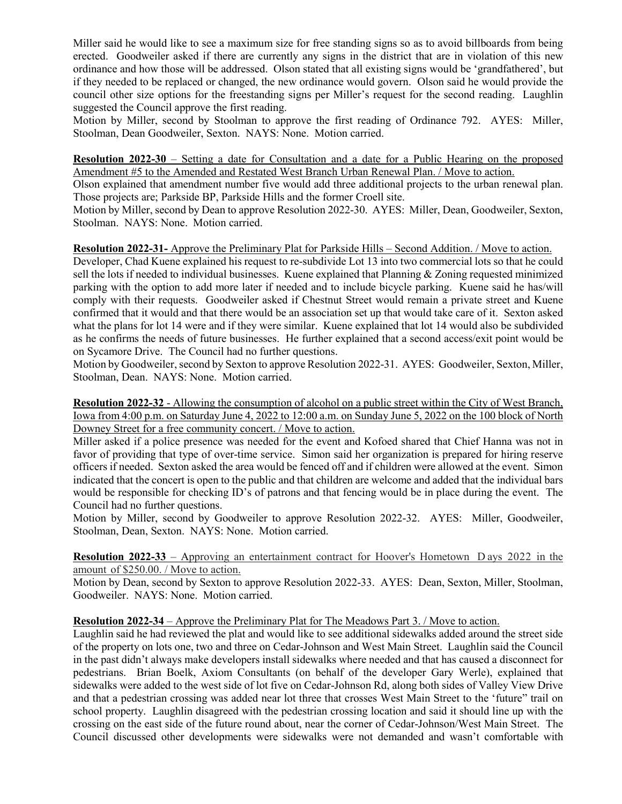Miller said he would like to see a maximum size for free standing signs so as to avoid billboards from being erected. Goodweiler asked if there are currently any signs in the district that are in violation of this new ordinance and how those will be addressed. Olson stated that all existing signs would be 'grandfathered', but if they needed to be replaced or changed, the new ordinance would govern. Olson said he would provide the council other size options for the freestanding signs per Miller's request for the second reading. Laughlin suggested the Council approve the first reading.

Motion by Miller, second by Stoolman to approve the first reading of Ordinance 792. AYES: Miller, Stoolman, Dean Goodweiler, Sexton. NAYS: None. Motion carried.

**Resolution 2022-30** – Setting a date for Consultation and a date for a Public Hearing on the proposed Amendment #5 to the Amended and Restated West Branch Urban Renewal Plan. / Move to action.

Olson explained that amendment number five would add three additional projects to the urban renewal plan. Those projects are; Parkside BP, Parkside Hills and the former Croell site.

Motion by Miller, second by Dean to approve Resolution 2022-30. AYES: Miller, Dean, Goodweiler, Sexton, Stoolman. NAYS: None. Motion carried.

**Resolution 2022-31-** Approve the Preliminary Plat for Parkside Hills – Second Addition. / Move to action.

Developer, Chad Kuene explained his request to re-subdivide Lot 13 into two commercial lots so that he could sell the lots if needed to individual businesses. Kuene explained that Planning & Zoning requested minimized parking with the option to add more later if needed and to include bicycle parking. Kuene said he has/will comply with their requests. Goodweiler asked if Chestnut Street would remain a private street and Kuene confirmed that it would and that there would be an association set up that would take care of it. Sexton asked what the plans for lot 14 were and if they were similar. Kuene explained that lot 14 would also be subdivided as he confirms the needs of future businesses. He further explained that a second access/exit point would be on Sycamore Drive. The Council had no further questions.

Motion by Goodweiler, second by Sexton to approve Resolution 2022-31. AYES: Goodweiler, Sexton, Miller, Stoolman, Dean. NAYS: None. Motion carried.

**Resolution 2022-32** - Allowing the consumption of alcohol on a public street within the City of West Branch, Iowa from 4:00 p.m. on Saturday June 4, 2022 to 12:00 a.m. on Sunday June 5, 2022 on the 100 block of North Downey Street for a free community concert. / Move to action.

Miller asked if a police presence was needed for the event and Kofoed shared that Chief Hanna was not in favor of providing that type of over-time service. Simon said her organization is prepared for hiring reserve officers if needed. Sexton asked the area would be fenced off and if children were allowed at the event. Simon indicated that the concert is open to the public and that children are welcome and added that the individual bars would be responsible for checking ID's of patrons and that fencing would be in place during the event. The Council had no further questions.

Motion by Miller, second by Goodweiler to approve Resolution 2022-32. AYES: Miller, Goodweiler, Stoolman, Dean, Sexton. NAYS: None. Motion carried.

**Resolution 2022-33** – Approving an entertainment contract for Hoover's Hometown D ays 2022 in the amount of \$250.00. / Move to action.

Motion by Dean, second by Sexton to approve Resolution 2022-33. AYES: Dean, Sexton, Miller, Stoolman, Goodweiler. NAYS: None. Motion carried.

**Resolution 2022-34** – Approve the Preliminary Plat for The Meadows Part 3. / Move to action.

Laughlin said he had reviewed the plat and would like to see additional sidewalks added around the street side of the property on lots one, two and three on Cedar-Johnson and West Main Street. Laughlin said the Council in the past didn't always make developers install sidewalks where needed and that has caused a disconnect for pedestrians. Brian Boelk, Axiom Consultants (on behalf of the developer Gary Werle), explained that sidewalks were added to the west side of lot five on Cedar-Johnson Rd, along both sides of Valley View Drive and that a pedestrian crossing was added near lot three that crosses West Main Street to the 'future" trail on school property. Laughlin disagreed with the pedestrian crossing location and said it should line up with the crossing on the east side of the future round about, near the corner of Cedar-Johnson/West Main Street. The Council discussed other developments were sidewalks were not demanded and wasn't comfortable with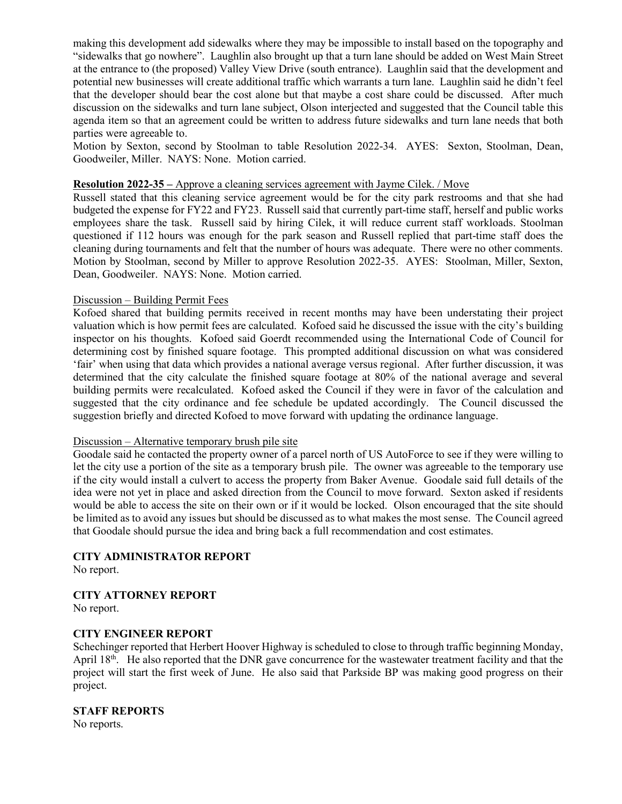making this development add sidewalks where they may be impossible to install based on the topography and "sidewalks that go nowhere". Laughlin also brought up that a turn lane should be added on West Main Street at the entrance to (the proposed) Valley View Drive (south entrance). Laughlin said that the development and potential new businesses will create additional traffic which warrants a turn lane. Laughlin said he didn't feel that the developer should bear the cost alone but that maybe a cost share could be discussed. After much discussion on the sidewalks and turn lane subject, Olson interjected and suggested that the Council table this agenda item so that an agreement could be written to address future sidewalks and turn lane needs that both parties were agreeable to.

Motion by Sexton, second by Stoolman to table Resolution 2022-34. AYES: Sexton, Stoolman, Dean, Goodweiler, Miller. NAYS: None. Motion carried.

## **Resolution 2022-35 –** Approve a cleaning services agreement with Jayme Cilek. / Move

Russell stated that this cleaning service agreement would be for the city park restrooms and that she had budgeted the expense for FY22 and FY23. Russell said that currently part-time staff, herself and public works employees share the task. Russell said by hiring Cilek, it will reduce current staff workloads. Stoolman questioned if 112 hours was enough for the park season and Russell replied that part-time staff does the cleaning during tournaments and felt that the number of hours was adequate. There were no other comments. Motion by Stoolman, second by Miller to approve Resolution 2022-35. AYES: Stoolman, Miller, Sexton, Dean, Goodweiler. NAYS: None. Motion carried.

#### Discussion – Building Permit Fees

Kofoed shared that building permits received in recent months may have been understating their project valuation which is how permit fees are calculated. Kofoed said he discussed the issue with the city's building inspector on his thoughts. Kofoed said Goerdt recommended using the International Code of Council for determining cost by finished square footage. This prompted additional discussion on what was considered 'fair' when using that data which provides a national average versus regional. After further discussion, it was determined that the city calculate the finished square footage at 80% of the national average and several building permits were recalculated. Kofoed asked the Council if they were in favor of the calculation and suggested that the city ordinance and fee schedule be updated accordingly. The Council discussed the suggestion briefly and directed Kofoed to move forward with updating the ordinance language.

### Discussion – Alternative temporary brush pile site

Goodale said he contacted the property owner of a parcel north of US AutoForce to see if they were willing to let the city use a portion of the site as a temporary brush pile. The owner was agreeable to the temporary use if the city would install a culvert to access the property from Baker Avenue. Goodale said full details of the idea were not yet in place and asked direction from the Council to move forward. Sexton asked if residents would be able to access the site on their own or if it would be locked. Olson encouraged that the site should be limited as to avoid any issues but should be discussed as to what makes the most sense. The Council agreed that Goodale should pursue the idea and bring back a full recommendation and cost estimates.

#### **CITY ADMINISTRATOR REPORT**

No report.

# **CITY ATTORNEY REPORT**

No report.

### **CITY ENGINEER REPORT**

Schechinger reported that Herbert Hoover Highway is scheduled to close to through traffic beginning Monday, April 18<sup>th</sup>. He also reported that the DNR gave concurrence for the wastewater treatment facility and that the project will start the first week of June. He also said that Parkside BP was making good progress on their project.

#### **STAFF REPORTS**

No reports.